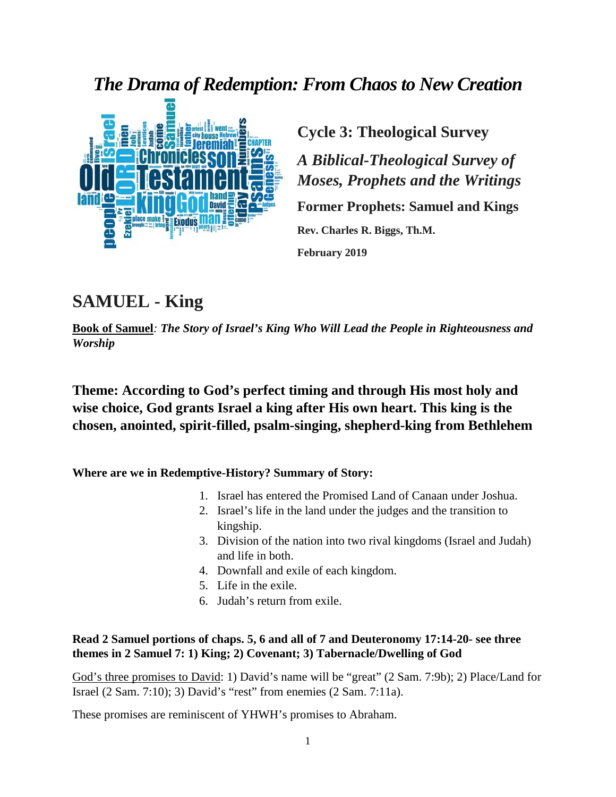# *The Drama of Redemption: From Chaos to New Creation*



**Cycle 3: Theological Survey** *A Biblical-Theological Survey of Moses, Prophets and the Writings* **Former Prophets: Samuel and Kings Rev. Charles R. Biggs, Th.M. February 2019**

# **SAMUEL - King**

**Book of Samuel***: The Story of Israel's King Who Will Lead the People in Righteousness and Worship*

**Theme: According to God's perfect timing and through His most holy and wise choice, God grants Israel a king after His own heart. This king is the chosen, anointed, spirit-filled, psalm-singing, shepherd-king from Bethlehem**

**Where are we in Redemptive-History? Summary of Story:**

- 1. Israel has entered the Promised Land of Canaan under Joshua.
- 2. Israel's life in the land under the judges and the transition to kingship.
- 3. Division of the nation into two rival kingdoms (Israel and Judah) and life in both.
- 4. Downfall and exile of each kingdom.
- 5. Life in the exile.
- 6. Judah's return from exile.

# **Read 2 Samuel portions of chaps. 5, 6 and all of 7 and Deuteronomy 17:14-20- see three themes in 2 Samuel 7: 1) King; 2) Covenant; 3) Tabernacle/Dwelling of God**

God's three promises to David: 1) David's name will be "great" (2 Sam. 7:9b); 2) Place/Land for Israel (2 Sam. 7:10); 3) David's "rest" from enemies (2 Sam. 7:11a).

These promises are reminiscent of YHWH's promises to Abraham.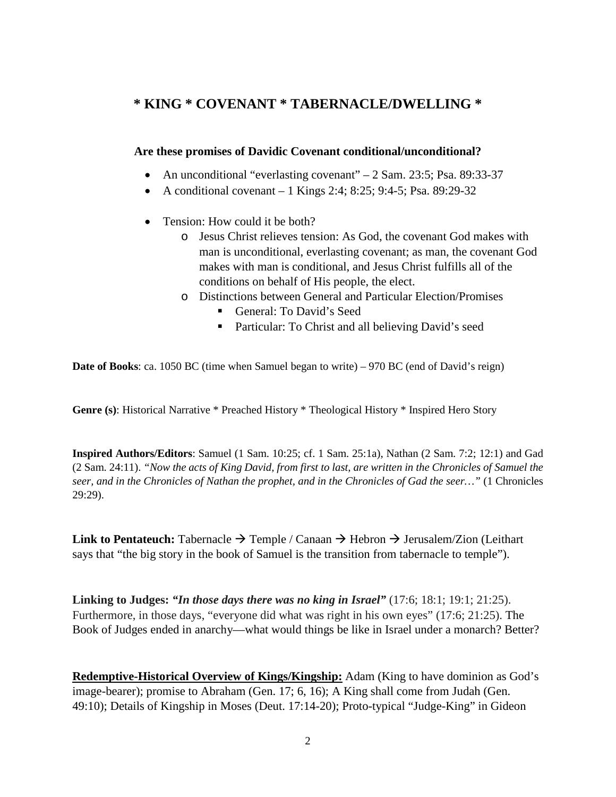# **\* KING \* COVENANT \* TABERNACLE/DWELLING \***

## **Are these promises of Davidic Covenant conditional/unconditional?**

- An unconditional "everlasting covenant" 2 Sam. 23:5; Psa. 89:33-37
- A conditional covenant  $-1$  Kings 2:4; 8:25; 9:4-5; Psa. 89:29-32
- Tension: How could it be both?
	- o Jesus Christ relieves tension: As God, the covenant God makes with man is unconditional, everlasting covenant; as man, the covenant God makes with man is conditional, and Jesus Christ fulfills all of the conditions on behalf of His people, the elect.
	- o Distinctions between General and Particular Election/Promises
		- General: To David's Seed
		- Particular: To Christ and all believing David's seed

**Date of Books**: ca. 1050 BC (time when Samuel began to write) – 970 BC (end of David's reign)

**Genre (s)**: Historical Narrative \* Preached History \* Theological History \* Inspired Hero Story

**Inspired Authors/Editors**: Samuel (1 Sam. 10:25; cf. 1 Sam. 25:1a), Nathan (2 Sam. 7:2; 12:1) and Gad (2 Sam. 24:11). *"Now the acts of King David, from first to last, are written in the Chronicles of Samuel the seer, and in the Chronicles of Nathan the prophet, and in the Chronicles of Gad the seer…"* (1 Chronicles 29:29).

**Link to Pentateuch:** Tabernacle  $\rightarrow$  Temple / Canaan  $\rightarrow$  Hebron  $\rightarrow$  Jerusalem/Zion (Leithart says that "the big story in the book of Samuel is the transition from tabernacle to temple").

**Linking to Judges:** *"In those days there was no king in Israel"* (17:6; 18:1; 19:1; 21:25). Furthermore, in those days, "everyone did what was right in his own eyes" (17:6; 21:25). The Book of Judges ended in anarchy—what would things be like in Israel under a monarch? Better?

**Redemptive-Historical Overview of Kings/Kingship:** Adam (King to have dominion as God's image-bearer); promise to Abraham (Gen. 17; 6, 16); A King shall come from Judah (Gen. 49:10); Details of Kingship in Moses (Deut. 17:14-20); Proto-typical "Judge-King" in Gideon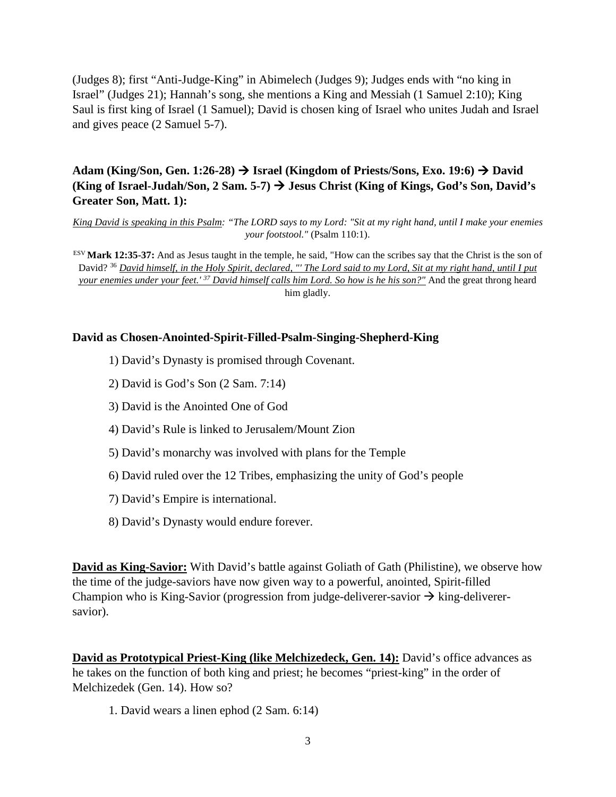(Judges 8); first "Anti-Judge-King" in Abimelech (Judges 9); Judges ends with "no king in Israel" (Judges 21); Hannah's song, she mentions a King and Messiah (1 Samuel 2:10); King Saul is first king of Israel (1 Samuel); David is chosen king of Israel who unites Judah and Israel and gives peace (2 Samuel 5-7).

# **Adam (King/Son, Gen. 1:26-28) Israel (Kingdom of Priests/Sons, Exo. 19:6) David (King of Israel-Judah/Son, 2 Sam. 5-7) Jesus Christ (King of Kings, God's Son, David's Greater Son, Matt. 1):**

*King David is speaking in this Psalm: "The LORD says to my Lord: "Sit at my right hand, until I make your enemies your footstool."* (Psalm 110:1).

ESV **Mark 12:35-37:** And as Jesus taught in the temple, he said, "How can the scribes say that the Christ is the son of David? 36 *David himself, in the Holy Spirit, declared, "' The Lord said to my Lord, Sit at my right hand, until I put your enemies under your feet.' 37 David himself calls him Lord. So how is he his son?"* And the great throng heard him gladly.

### **David as Chosen-Anointed-Spirit-Filled-Psalm-Singing-Shepherd-King**

1) David's Dynasty is promised through Covenant.

2) David is God's Son (2 Sam. 7:14)

3) David is the Anointed One of God

4) David's Rule is linked to Jerusalem/Mount Zion

5) David's monarchy was involved with plans for the Temple

6) David ruled over the 12 Tribes, emphasizing the unity of God's people

7) David's Empire is international.

8) David's Dynasty would endure forever.

**David as King-Savior:** With David's battle against Goliath of Gath (Philistine), we observe how the time of the judge-saviors have now given way to a powerful, anointed, Spirit-filled Champion who is King-Savior (progression from judge-deliverer-savior  $\rightarrow$  king-deliverersavior).

**David as Prototypical Priest-King (like Melchizedeck, Gen. 14):** David's office advances as he takes on the function of both king and priest; he becomes "priest-king" in the order of Melchizedek (Gen. 14). How so?

1. David wears a linen ephod (2 Sam. 6:14)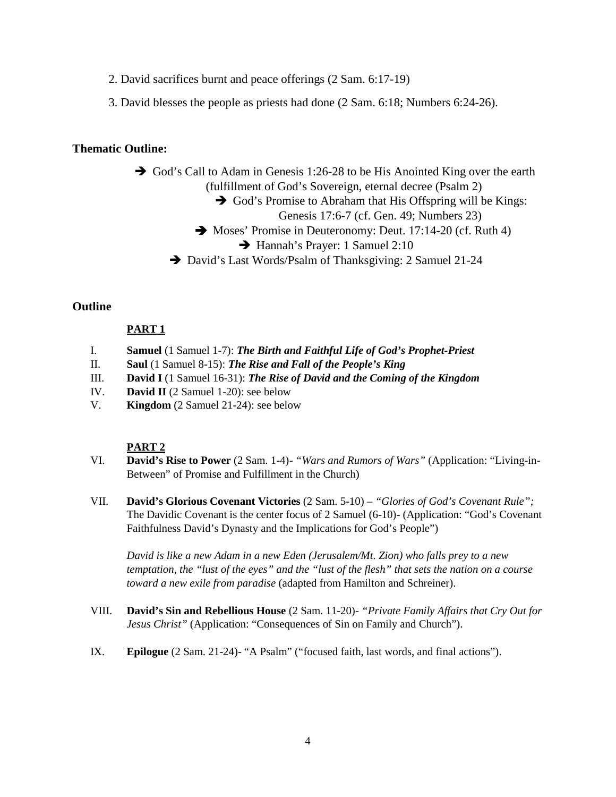- 2. David sacrifices burnt and peace offerings (2 Sam. 6:17-19)
- 3. David blesses the people as priests had done (2 Sam. 6:18; Numbers 6:24-26).

### **Thematic Outline:**

- God's Call to Adam in Genesis 1:26-28 to be His Anointed King over the earth (fulfillment of God's Sovereign, eternal decree (Psalm 2)
	- $\rightarrow$  God's Promise to Abraham that His Offspring will be Kings:
		- Genesis 17:6-7 (cf. Gen. 49; Numbers 23)
	- Moses' Promise in Deuteronomy: Deut. 17:14-20 (cf. Ruth 4)
		- $\rightarrow$  Hannah's Prayer: 1 Samuel 2:10
	- David's Last Words/Psalm of Thanksgiving: 2 Samuel 21-24

### **Outline**

### **PART 1**

- I. **Samuel** (1 Samuel 1-7): *The Birth and Faithful Life of God's Prophet-Priest*
- II. **Saul** (1 Samuel 8-15): *The Rise and Fall of the People's King*
- III. **David I** (1 Samuel 16-31): *The Rise of David and the Coming of the Kingdom*
- IV. **David II** (2 Samuel 1-20): see below
- V. **Kingdom** (2 Samuel 21-24): see below

### **PART 2**

- VI. **David's Rise to Power** (2 Sam. 1-4)- *"Wars and Rumors of Wars"* (Application: "Living-in-Between" of Promise and Fulfillment in the Church)
- VII. **David's Glorious Covenant Victories** (2 Sam. 5-10) *"Glories of God's Covenant Rule";*  The Davidic Covenant is the center focus of 2 Samuel (6-10)- (Application: "God's Covenant Faithfulness David's Dynasty and the Implications for God's People")

*David is like a new Adam in a new Eden (Jerusalem/Mt. Zion) who falls prey to a new temptation, the "lust of the eyes" and the "lust of the flesh" that sets the nation on a course toward a new exile from paradise* (adapted from Hamilton and Schreiner).

- VIII. **David's Sin and Rebellious House** (2 Sam. 11-20)- *"Private Family Affairs that Cry Out for Jesus Christ"* (Application: "Consequences of Sin on Family and Church").
- IX. **Epilogue** (2 Sam. 21-24)- "A Psalm" ("focused faith, last words, and final actions").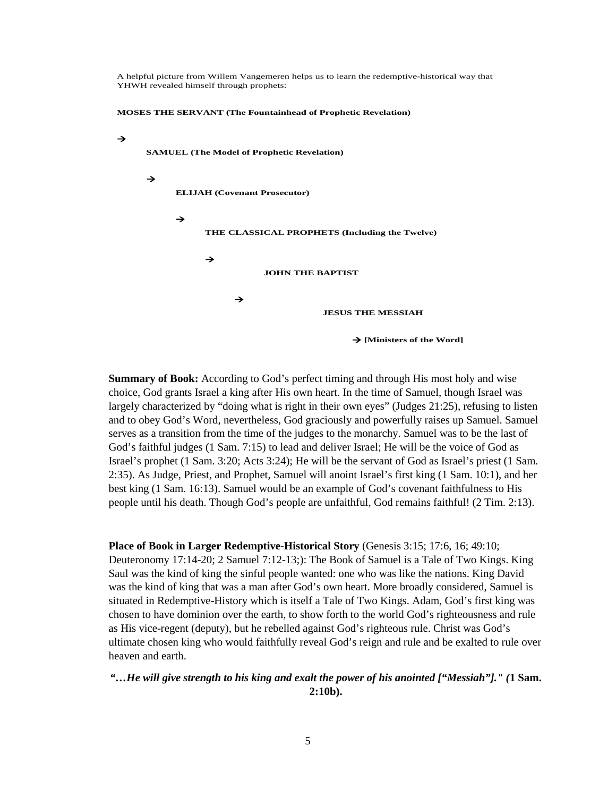A helpful picture from Willem Vangemeren helps us to learn the redemptive-historical way that YHWH revealed himself through prophets:





**Summary of Book:** According to God's perfect timing and through His most holy and wise choice, God grants Israel a king after His own heart. In the time of Samuel, though Israel was largely characterized by "doing what is right in their own eyes" (Judges 21:25), refusing to listen and to obey God's Word, nevertheless, God graciously and powerfully raises up Samuel. Samuel serves as a transition from the time of the judges to the monarchy. Samuel was to be the last of God's faithful judges (1 Sam. 7:15) to lead and deliver Israel; He will be the voice of God as Israel's prophet (1 Sam. 3:20; Acts 3:24); He will be the servant of God as Israel's priest (1 Sam. 2:35). As Judge, Priest, and Prophet, Samuel will anoint Israel's first king (1 Sam. 10:1), and her best king (1 Sam. 16:13). Samuel would be an example of God's covenant faithfulness to His people until his death. Though God's people are unfaithful, God remains faithful! (2 Tim. 2:13).

**Place of Book in Larger Redemptive-Historical Story** (Genesis 3:15; 17:6, 16; 49:10; Deuteronomy 17:14-20; 2 Samuel 7:12-13;): The Book of Samuel is a Tale of Two Kings. King Saul was the kind of king the sinful people wanted: one who was like the nations. King David was the kind of king that was a man after God's own heart. More broadly considered, Samuel is situated in Redemptive-History which is itself a Tale of Two Kings. Adam, God's first king was chosen to have dominion over the earth, to show forth to the world God's righteousness and rule as His vice-regent (deputy), but he rebelled against God's righteous rule. Christ was God's ultimate chosen king who would faithfully reveal God's reign and rule and be exalted to rule over heaven and earth.

### *"…He will give strength to his king and exalt the power of his anointed ["Messiah"]." (***1 Sam. 2:10b).**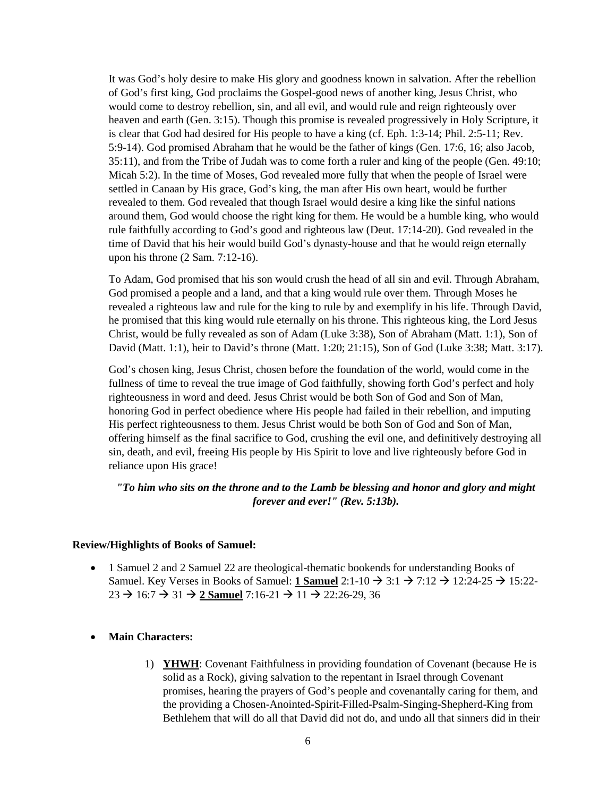It was God's holy desire to make His glory and goodness known in salvation. After the rebellion of God's first king, God proclaims the Gospel-good news of another king, Jesus Christ, who would come to destroy rebellion, sin, and all evil, and would rule and reign righteously over heaven and earth (Gen. 3:15). Though this promise is revealed progressively in Holy Scripture, it is clear that God had desired for His people to have a king (cf. Eph. 1:3-14; Phil. 2:5-11; Rev. 5:9-14). God promised Abraham that he would be the father of kings (Gen. 17:6, 16; also Jacob, 35:11), and from the Tribe of Judah was to come forth a ruler and king of the people (Gen. 49:10; Micah 5:2). In the time of Moses, God revealed more fully that when the people of Israel were settled in Canaan by His grace, God's king, the man after His own heart, would be further revealed to them. God revealed that though Israel would desire a king like the sinful nations around them, God would choose the right king for them. He would be a humble king, who would rule faithfully according to God's good and righteous law (Deut. 17:14-20). God revealed in the time of David that his heir would build God's dynasty-house and that he would reign eternally upon his throne (2 Sam. 7:12-16).

To Adam, God promised that his son would crush the head of all sin and evil. Through Abraham, God promised a people and a land, and that a king would rule over them. Through Moses he revealed a righteous law and rule for the king to rule by and exemplify in his life. Through David, he promised that this king would rule eternally on his throne. This righteous king, the Lord Jesus Christ, would be fully revealed as son of Adam (Luke 3:38), Son of Abraham (Matt. 1:1), Son of David (Matt. 1:1), heir to David's throne (Matt. 1:20; 21:15), Son of God (Luke 3:38; Matt. 3:17).

God's chosen king, Jesus Christ, chosen before the foundation of the world, would come in the fullness of time to reveal the true image of God faithfully, showing forth God's perfect and holy righteousness in word and deed. Jesus Christ would be both Son of God and Son of Man, honoring God in perfect obedience where His people had failed in their rebellion, and imputing His perfect righteousness to them. Jesus Christ would be both Son of God and Son of Man, offering himself as the final sacrifice to God, crushing the evil one, and definitively destroying all sin, death, and evil, freeing His people by His Spirit to love and live righteously before God in reliance upon His grace!

### *"To him who sits on the throne and to the Lamb be blessing and honor and glory and might forever and ever!" (Rev. 5:13b).*

### **Review/Highlights of Books of Samuel:**

- 1 Samuel 2 and 2 Samuel 22 are theological-thematic bookends for understanding Books of Samuel. Key Verses in Books of Samuel: **1 Samuel** 2:1-10  $\rightarrow$  3:1  $\rightarrow$  7:12  $\rightarrow$  12:24-25  $\rightarrow$  15:22- $23 \rightarrow 16:7 \rightarrow 31 \rightarrow 2$  Samuel 7:16-21  $\rightarrow$  11  $\rightarrow$  22:26-29, 36
- **Main Characters:**
	- 1) **YHWH**: Covenant Faithfulness in providing foundation of Covenant (because He is solid as a Rock), giving salvation to the repentant in Israel through Covenant promises, hearing the prayers of God's people and covenantally caring for them, and the providing a Chosen-Anointed-Spirit-Filled-Psalm-Singing-Shepherd-King from Bethlehem that will do all that David did not do, and undo all that sinners did in their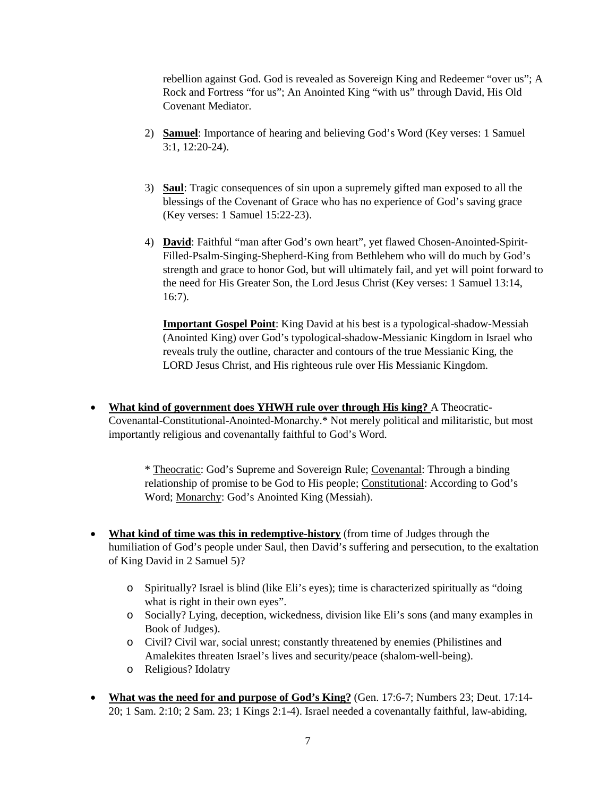rebellion against God. God is revealed as Sovereign King and Redeemer "over us"; A Rock and Fortress "for us"; An Anointed King "with us" through David, His Old Covenant Mediator.

- 2) **Samuel**: Importance of hearing and believing God's Word (Key verses: 1 Samuel 3:1, 12:20-24).
- 3) **Saul**: Tragic consequences of sin upon a supremely gifted man exposed to all the blessings of the Covenant of Grace who has no experience of God's saving grace (Key verses: 1 Samuel 15:22-23).
- 4) **David**: Faithful "man after God's own heart", yet flawed Chosen-Anointed-Spirit-Filled-Psalm-Singing-Shepherd-King from Bethlehem who will do much by God's strength and grace to honor God, but will ultimately fail, and yet will point forward to the need for His Greater Son, the Lord Jesus Christ (Key verses: 1 Samuel 13:14, 16:7).

**Important Gospel Point**: King David at his best is a typological-shadow-Messiah (Anointed King) over God's typological-shadow-Messianic Kingdom in Israel who reveals truly the outline, character and contours of the true Messianic King, the LORD Jesus Christ, and His righteous rule over His Messianic Kingdom.

• **What kind of government does YHWH rule over through His king?** A Theocratic-Covenantal-Constitutional-Anointed-Monarchy.\* Not merely political and militaristic, but most importantly religious and covenantally faithful to God's Word.

> \* Theocratic: God's Supreme and Sovereign Rule; Covenantal: Through a binding relationship of promise to be God to His people; Constitutional: According to God's Word; Monarchy: God's Anointed King (Messiah).

- **What kind of time was this in redemptive-history** (from time of Judges through the humiliation of God's people under Saul, then David's suffering and persecution, to the exaltation of King David in 2 Samuel 5)?
	- o Spiritually? Israel is blind (like Eli's eyes); time is characterized spiritually as "doing what is right in their own eyes".
	- o Socially? Lying, deception, wickedness, division like Eli's sons (and many examples in Book of Judges).
	- o Civil? Civil war, social unrest; constantly threatened by enemies (Philistines and Amalekites threaten Israel's lives and security/peace (shalom-well-being).
	- o Religious? Idolatry
- **What was the need for and purpose of God's King?** (Gen. 17:6-7; Numbers 23; Deut. 17:14- 20; 1 Sam. 2:10; 2 Sam. 23; 1 Kings 2:1-4). Israel needed a covenantally faithful, law-abiding,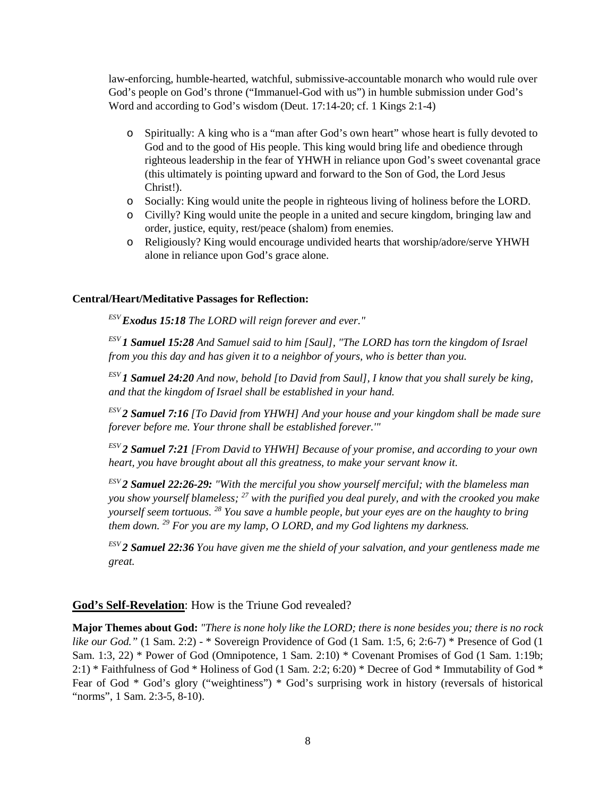law-enforcing, humble-hearted, watchful, submissive-accountable monarch who would rule over God's people on God's throne ("Immanuel-God with us") in humble submission under God's Word and according to God's wisdom (Deut. 17:14-20; cf. 1 Kings 2:1-4)

- o Spiritually: A king who is a "man after God's own heart" whose heart is fully devoted to God and to the good of His people. This king would bring life and obedience through righteous leadership in the fear of YHWH in reliance upon God's sweet covenantal grace (this ultimately is pointing upward and forward to the Son of God, the Lord Jesus Christ!).
- o Socially: King would unite the people in righteous living of holiness before the LORD.
- o Civilly? King would unite the people in a united and secure kingdom, bringing law and order, justice, equity, rest/peace (shalom) from enemies.
- o Religiously? King would encourage undivided hearts that worship/adore/serve YHWH alone in reliance upon God's grace alone.

### **Central/Heart/Meditative Passages for Reflection:**

*ESV Exodus 15:18 The LORD will reign forever and ever."*

*ESV 1 Samuel 15:28 And Samuel said to him [Saul], "The LORD has torn the kingdom of Israel from you this day and has given it to a neighbor of yours, who is better than you.*

*ESV 1 Samuel 24:20 And now, behold [to David from Saul], I know that you shall surely be king, and that the kingdom of Israel shall be established in your hand.*

*ESV 2 Samuel 7:16 [To David from YHWH] And your house and your kingdom shall be made sure forever before me. Your throne shall be established forever.'"*

*ESV 2 Samuel 7:21 [From David to YHWH] Because of your promise, and according to your own heart, you have brought about all this greatness, to make your servant know it.*

*ESV 2 Samuel 22:26-29: "With the merciful you show yourself merciful; with the blameless man you show yourself blameless; 27 with the purified you deal purely, and with the crooked you make yourself seem tortuous. <sup>28</sup> You save a humble people, but your eyes are on the haughty to bring them down. 29 For you are my lamp, O LORD, and my God lightens my darkness.*

*ESV 2 Samuel 22:36 You have given me the shield of your salvation, and your gentleness made me great.*

### **God's Self-Revelation**: How is the Triune God revealed?

**Major Themes about God:** *"There is none holy like the LORD; there is none besides you; there is no rock like our God."* (1 Sam. 2:2) - \* Sovereign Providence of God (1 Sam. 1:5, 6; 2:6-7) \* Presence of God (1 Sam. 1:3, 22) \* Power of God (Omnipotence, 1 Sam. 2:10) \* Covenant Promises of God (1 Sam. 1:19b; 2:1) \* Faithfulness of God \* Holiness of God (1 Sam. 2:2; 6:20) \* Decree of God \* Immutability of God \* Fear of God \* God's glory ("weightiness") \* God's surprising work in history (reversals of historical "norms", 1 Sam. 2:3-5, 8-10).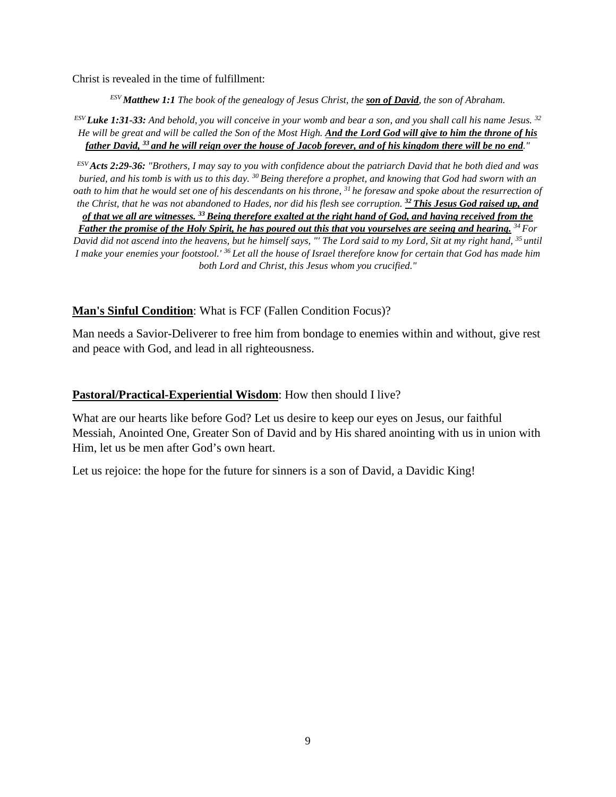Christ is revealed in the time of fulfillment:

*ESV Matthew 1:1 The book of the genealogy of Jesus Christ, the son of David, the son of Abraham.*

*ESV Luke 1:31-33: And behold, you will conceive in your womb and bear a son, and you shall call his name Jesus. 32 He will be great and will be called the Son of the Most High. And the Lord God will give to him the throne of his father David, 33 and he will reign over the house of Jacob forever, and of his kingdom there will be no end."*

*ESV Acts 2:29-36: "Brothers, I may say to you with confidence about the patriarch David that he both died and was buried, and his tomb is with us to this day. 30 Being therefore a prophet, and knowing that God had sworn with an oath to him that he would set one of his descendants on his throne, <sup>31</sup> he foresaw and spoke about the resurrection of the Christ, that he was not abandoned to Hades, nor did his flesh see corruption. 32 This Jesus God raised up, and of that we all are witnesses. 33 Being therefore exalted at the right hand of God, and having received from the Father the promise of the Holy Spirit, he has poured out this that you yourselves are seeing and hearing. 34 For David did not ascend into the heavens, but he himself says, "' The Lord said to my Lord, Sit at my right hand, 35 until I make your enemies your footstool.' 36 Let all the house of Israel therefore know for certain that God has made him both Lord and Christ, this Jesus whom you crucified."*

# **Man's Sinful Condition**: What is FCF (Fallen Condition Focus)?

Man needs a Savior-Deliverer to free him from bondage to enemies within and without, give rest and peace with God, and lead in all righteousness.

## **Pastoral/Practical-Experiential Wisdom**: How then should I live?

What are our hearts like before God? Let us desire to keep our eyes on Jesus, our faithful Messiah, Anointed One, Greater Son of David and by His shared anointing with us in union with Him, let us be men after God's own heart.

Let us rejoice: the hope for the future for sinners is a son of David, a Davidic King!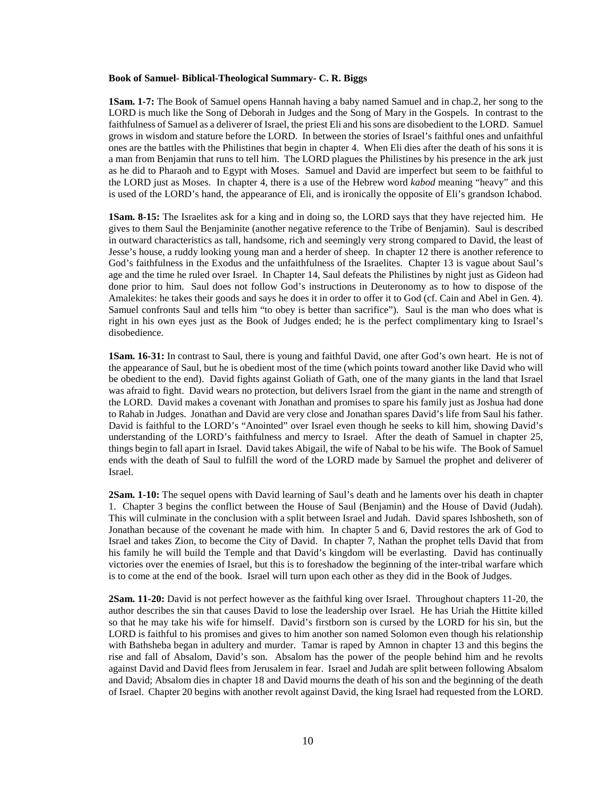#### **Book of Samuel- Biblical-Theological Summary- C. R. Biggs**

**1Sam. 1-7:** The Book of Samuel opens Hannah having a baby named Samuel and in chap.2, her song to the LORD is much like the Song of Deborah in Judges and the Song of Mary in the Gospels. In contrast to the faithfulness of Samuel as a deliverer of Israel, the priest Eli and his sons are disobedient to the LORD. Samuel grows in wisdom and stature before the LORD. In between the stories of Israel's faithful ones and unfaithful ones are the battles with the Philistines that begin in chapter 4. When Eli dies after the death of his sons it is a man from Benjamin that runs to tell him. The LORD plagues the Philistines by his presence in the ark just as he did to Pharaoh and to Egypt with Moses. Samuel and David are imperfect but seem to be faithful to the LORD just as Moses. In chapter 4, there is a use of the Hebrew word *kabod* meaning "heavy" and this is used of the LORD's hand, the appearance of Eli, and is ironically the opposite of Eli's grandson Ichabod.

**1Sam. 8-15:** The Israelites ask for a king and in doing so, the LORD says that they have rejected him. He gives to them Saul the Benjaminite (another negative reference to the Tribe of Benjamin). Saul is described in outward characteristics as tall, handsome, rich and seemingly very strong compared to David, the least of Jesse's house, a ruddy looking young man and a herder of sheep. In chapter 12 there is another reference to God's faithfulness in the Exodus and the unfaithfulness of the Israelites. Chapter 13 is vague about Saul's age and the time he ruled over Israel. In Chapter 14, Saul defeats the Philistines by night just as Gideon had done prior to him. Saul does not follow God's instructions in Deuteronomy as to how to dispose of the Amalekites: he takes their goods and says he does it in order to offer it to God (cf. Cain and Abel in Gen. 4). Samuel confronts Saul and tells him "to obey is better than sacrifice"). Saul is the man who does what is right in his own eyes just as the Book of Judges ended; he is the perfect complimentary king to Israel's disobedience.

**1Sam. 16-31:** In contrast to Saul, there is young and faithful David, one after God's own heart. He is not of the appearance of Saul, but he is obedient most of the time (which points toward another like David who will be obedient to the end). David fights against Goliath of Gath, one of the many giants in the land that Israel was afraid to fight. David wears no protection, but delivers Israel from the giant in the name and strength of the LORD. David makes a covenant with Jonathan and promises to spare his family just as Joshua had done to Rahab in Judges. Jonathan and David are very close and Jonathan spares David's life from Saul his father. David is faithful to the LORD's "Anointed" over Israel even though he seeks to kill him, showing David's understanding of the LORD's faithfulness and mercy to Israel. After the death of Samuel in chapter 25, things begin to fall apart in Israel. David takes Abigail, the wife of Nabal to be his wife. The Book of Samuel ends with the death of Saul to fulfill the word of the LORD made by Samuel the prophet and deliverer of Israel.

**2Sam. 1-10:** The sequel opens with David learning of Saul's death and he laments over his death in chapter 1. Chapter 3 begins the conflict between the House of Saul (Benjamin) and the House of David (Judah). This will culminate in the conclusion with a split between Israel and Judah. David spares Ishbosheth, son of Jonathan because of the covenant he made with him. In chapter 5 and 6, David restores the ark of God to Israel and takes Zion, to become the City of David. In chapter 7, Nathan the prophet tells David that from his family he will build the Temple and that David's kingdom will be everlasting. David has continually victories over the enemies of Israel, but this is to foreshadow the beginning of the inter-tribal warfare which is to come at the end of the book. Israel will turn upon each other as they did in the Book of Judges.

**2Sam. 11-20:** David is not perfect however as the faithful king over Israel. Throughout chapters 11-20, the author describes the sin that causes David to lose the leadership over Israel. He has Uriah the Hittite killed so that he may take his wife for himself. David's firstborn son is cursed by the LORD for his sin, but the LORD is faithful to his promises and gives to him another son named Solomon even though his relationship with Bathsheba began in adultery and murder. Tamar is raped by Amnon in chapter 13 and this begins the rise and fall of Absalom, David's son. Absalom has the power of the people behind him and he revolts against David and David flees from Jerusalem in fear. Israel and Judah are split between following Absalom and David; Absalom dies in chapter 18 and David mourns the death of his son and the beginning of the death of Israel. Chapter 20 begins with another revolt against David, the king Israel had requested from the LORD.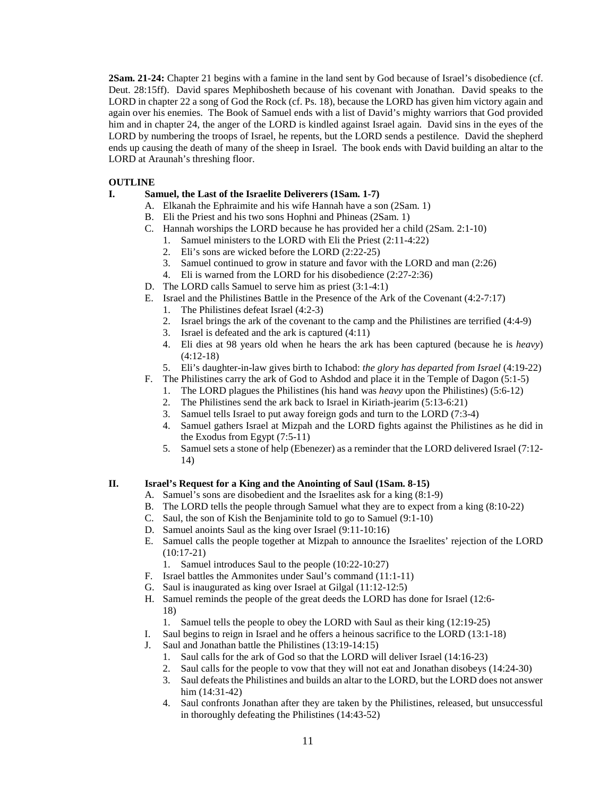**2Sam. 21-24:** Chapter 21 begins with a famine in the land sent by God because of Israel's disobedience (cf. Deut. 28:15ff). David spares Mephibosheth because of his covenant with Jonathan. David speaks to the LORD in chapter 22 a song of God the Rock (cf. Ps. 18), because the LORD has given him victory again and again over his enemies. The Book of Samuel ends with a list of David's mighty warriors that God provided him and in chapter 24, the anger of the LORD is kindled against Israel again. David sins in the eyes of the LORD by numbering the troops of Israel, he repents, but the LORD sends a pestilence. David the shepherd ends up causing the death of many of the sheep in Israel. The book ends with David building an altar to the LORD at Araunah's threshing floor.

### **OUTLINE**

### **I. Samuel, the Last of the Israelite Deliverers (1Sam. 1-7)**

- A. Elkanah the Ephraimite and his wife Hannah have a son (2Sam. 1)
- B. Eli the Priest and his two sons Hophni and Phineas (2Sam. 1)
- C. Hannah worships the LORD because he has provided her a child (2Sam. 2:1-10)
	- 1. Samuel ministers to the LORD with Eli the Priest (2:11-4:22)
	- 2. Eli's sons are wicked before the LORD (2:22-25)
	- 3. Samuel continued to grow in stature and favor with the LORD and man (2:26)
	- 4. Eli is warned from the LORD for his disobedience (2:27-2:36)
- D. The LORD calls Samuel to serve him as priest (3:1-4:1)
- E. Israel and the Philistines Battle in the Presence of the Ark of the Covenant (4:2-7:17)
	- 1. The Philistines defeat Israel (4:2-3)
	- 2. Israel brings the ark of the covenant to the camp and the Philistines are terrified (4:4-9)
	- 3. Israel is defeated and the ark is captured (4:11)
	- 4. Eli dies at 98 years old when he hears the ark has been captured (because he is *heavy*) (4:12-18)
	- 5. Eli's daughter-in-law gives birth to Ichabod: *the glory has departed from Israel* (4:19-22)
- F. The Philistines carry the ark of God to Ashdod and place it in the Temple of Dagon (5:1-5)
	- 1. The LORD plagues the Philistines (his hand was *heavy* upon the Philistines) (5:6-12)
	- 2. The Philistines send the ark back to Israel in Kiriath-jearim (5:13-6:21)
	- 3. Samuel tells Israel to put away foreign gods and turn to the LORD (7:3-4)
	- 4. Samuel gathers Israel at Mizpah and the LORD fights against the Philistines as he did in the Exodus from Egypt (7:5-11)
	- 5. Samuel sets a stone of help (Ebenezer) as a reminder that the LORD delivered Israel (7:12- 14)

### **II. Israel's Request for a King and the Anointing of Saul (1Sam. 8-15)**

A. Samuel's sons are disobedient and the Israelites ask for a king (8:1-9)

- B. The LORD tells the people through Samuel what they are to expect from a king (8:10-22)
- C. Saul, the son of Kish the Benjaminite told to go to Samuel (9:1-10)
- D. Samuel anoints Saul as the king over Israel (9:11-10:16)
- E. Samuel calls the people together at Mizpah to announce the Israelites' rejection of the LORD (10:17-21)
	- 1. Samuel introduces Saul to the people (10:22-10:27)
- F. Israel battles the Ammonites under Saul's command (11:1-11)
- G. Saul is inaugurated as king over Israel at Gilgal (11:12-12:5)
- H. Samuel reminds the people of the great deeds the LORD has done for Israel (12:6- 18)
	- 1. Samuel tells the people to obey the LORD with Saul as their king (12:19-25)
- I. Saul begins to reign in Israel and he offers a heinous sacrifice to the LORD (13:1-18)
- J. Saul and Jonathan battle the Philistines (13:19-14:15)
	- 1. Saul calls for the ark of God so that the LORD will deliver Israel (14:16-23)
	- 2. Saul calls for the people to vow that they will not eat and Jonathan disobeys (14:24-30)
	- 3. Saul defeats the Philistines and builds an altar to the LORD, but the LORD does not answer him (14:31-42)
	- 4. Saul confronts Jonathan after they are taken by the Philistines, released, but unsuccessful in thoroughly defeating the Philistines (14:43-52)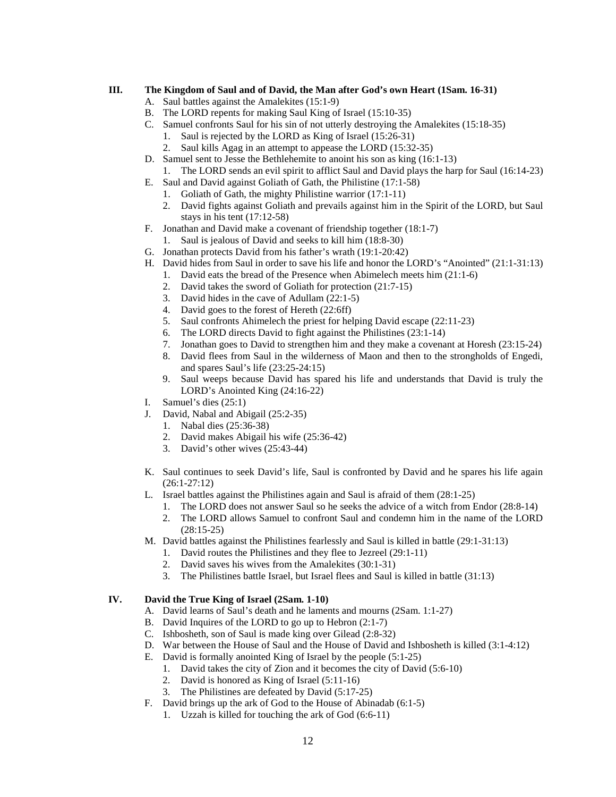### **III. The Kingdom of Saul and of David, the Man after God's own Heart (1Sam. 16-31)**

- A. Saul battles against the Amalekites (15:1-9)
- B. The LORD repents for making Saul King of Israel (15:10-35)
- C. Samuel confronts Saul for his sin of not utterly destroying the Amalekites (15:18-35)
	- 1. Saul is rejected by the LORD as King of Israel (15:26-31)
	- 2. Saul kills Agag in an attempt to appease the LORD (15:32-35)
- D. Samuel sent to Jesse the Bethlehemite to anoint his son as king (16:1-13)
	- 1. The LORD sends an evil spirit to afflict Saul and David plays the harp for Saul (16:14-23)
- E. Saul and David against Goliath of Gath, the Philistine (17:1-58)
	- 1. Goliath of Gath, the mighty Philistine warrior (17:1-11)
	- 2. David fights against Goliath and prevails against him in the Spirit of the LORD, but Saul stays in his tent (17:12-58)
- F. Jonathan and David make a covenant of friendship together (18:1-7)
	- 1. Saul is jealous of David and seeks to kill him (18:8-30)
- G. Jonathan protects David from his father's wrath (19:1-20:42)
- H. David hides from Saul in order to save his life and honor the LORD's "Anointed" (21:1-31:13)
	- 1. David eats the bread of the Presence when Abimelech meets him (21:1-6)
	- 2. David takes the sword of Goliath for protection (21:7-15)
	- 3. David hides in the cave of Adullam (22:1-5)
	- 4. David goes to the forest of Hereth (22:6ff)
	- 5. Saul confronts Ahimelech the priest for helping David escape (22:11-23)
	- 6. The LORD directs David to fight against the Philistines (23:1-14)
	- 7. Jonathan goes to David to strengthen him and they make a covenant at Horesh (23:15-24)
	- 8. David flees from Saul in the wilderness of Maon and then to the strongholds of Engedi, and spares Saul's life (23:25-24:15)
	- 9. Saul weeps because David has spared his life and understands that David is truly the LORD's Anointed King (24:16-22)
- I. Samuel's dies (25:1)
- J. David, Nabal and Abigail (25:2-35)
	- 1. Nabal dies (25:36-38)
	- 2. David makes Abigail his wife (25:36-42)
	- 3. David's other wives (25:43-44)
- K. Saul continues to seek David's life, Saul is confronted by David and he spares his life again (26:1-27:12)
- L. Israel battles against the Philistines again and Saul is afraid of them (28:1-25)
	- 1. The LORD does not answer Saul so he seeks the advice of a witch from Endor (28:8-14)
	- 2. The LORD allows Samuel to confront Saul and condemn him in the name of the LORD (28:15-25)
- M. David battles against the Philistines fearlessly and Saul is killed in battle (29:1-31:13)
	- 1. David routes the Philistines and they flee to Jezreel (29:1-11)
	- 2. David saves his wives from the Amalekites (30:1-31)
	- 3. The Philistines battle Israel, but Israel flees and Saul is killed in battle (31:13)

### **IV. David the True King of Israel (2Sam. 1-10)**

- A. David learns of Saul's death and he laments and mourns (2Sam. 1:1-27)
- B. David Inquires of the LORD to go up to Hebron (2:1-7)
- C. Ishbosheth, son of Saul is made king over Gilead (2:8-32)
- D. War between the House of Saul and the House of David and Ishbosheth is killed (3:1-4:12)
- E. David is formally anointed King of Israel by the people (5:1-25)
	- 1. David takes the city of Zion and it becomes the city of David (5:6-10)
	- 2. David is honored as King of Israel (5:11-16)
	- 3. The Philistines are defeated by David (5:17-25)
- F. David brings up the ark of God to the House of Abinadab (6:1-5)
	- 1. Uzzah is killed for touching the ark of God (6:6-11)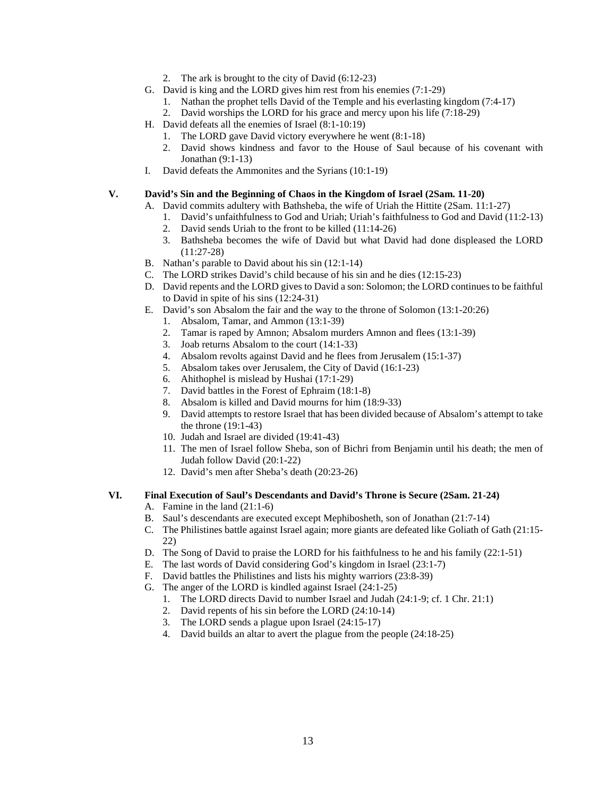- 2. The ark is brought to the city of David (6:12-23)
- G. David is king and the LORD gives him rest from his enemies (7:1-29)
	- 1. Nathan the prophet tells David of the Temple and his everlasting kingdom (7:4-17)
	- 2. David worships the LORD for his grace and mercy upon his life (7:18-29)
- H. David defeats all the enemies of Israel (8:1-10:19)
	- 1. The LORD gave David victory everywhere he went (8:1-18)
	- 2. David shows kindness and favor to the House of Saul because of his covenant with Jonathan (9:1-13)
- I. David defeats the Ammonites and the Syrians (10:1-19)

### **V. David's Sin and the Beginning of Chaos in the Kingdom of Israel (2Sam. 11-20)**

- A. David commits adultery with Bathsheba, the wife of Uriah the Hittite (2Sam. 11:1-27)
	- 1. David's unfaithfulness to God and Uriah; Uriah's faithfulness to God and David (11:2-13)
	- 2. David sends Uriah to the front to be killed (11:14-26)
	- 3. Bathsheba becomes the wife of David but what David had done displeased the LORD (11:27-28)
- B. Nathan's parable to David about his sin (12:1-14)
- C. The LORD strikes David's child because of his sin and he dies (12:15-23)
- D. David repents and the LORD gives to David a son: Solomon; the LORD continues to be faithful to David in spite of his sins (12:24-31)
- E. David's son Absalom the fair and the way to the throne of Solomon (13:1-20:26)
	- 1. Absalom, Tamar, and Ammon (13:1-39)
	- 2. Tamar is raped by Amnon; Absalom murders Amnon and flees (13:1-39)
	- 3. Joab returns Absalom to the court (14:1-33)
	- 4. Absalom revolts against David and he flees from Jerusalem (15:1-37)
	- 5. Absalom takes over Jerusalem, the City of David (16:1-23)
	- 6. Ahithophel is mislead by Hushai (17:1-29)
	- 7. David battles in the Forest of Ephraim (18:1-8)
	- 8. Absalom is killed and David mourns for him (18:9-33)
	- 9. David attempts to restore Israel that has been divided because of Absalom's attempt to take the throne (19:1-43)
	- 10. Judah and Israel are divided (19:41-43)
	- 11. The men of Israel follow Sheba, son of Bichri from Benjamin until his death; the men of Judah follow David (20:1-22)
	- 12. David's men after Sheba's death (20:23-26)

### **VI. Final Execution of Saul's Descendants and David's Throne is Secure (2Sam. 21-24)**

- A. Famine in the land (21:1-6)
- B. Saul's descendants are executed except Mephibosheth, son of Jonathan (21:7-14)
- C. The Philistines battle against Israel again; more giants are defeated like Goliath of Gath (21:15- 22)
- D. The Song of David to praise the LORD for his faithfulness to he and his family (22:1-51)
- E. The last words of David considering God's kingdom in Israel (23:1-7)
- F. David battles the Philistines and lists his mighty warriors (23:8-39)
- G. The anger of the LORD is kindled against Israel (24:1-25)
	- 1. The LORD directs David to number Israel and Judah (24:1-9; cf. 1 Chr. 21:1)
	- 2. David repents of his sin before the LORD (24:10-14)
	- 3. The LORD sends a plague upon Israel (24:15-17)
	- 4. David builds an altar to avert the plague from the people (24:18-25)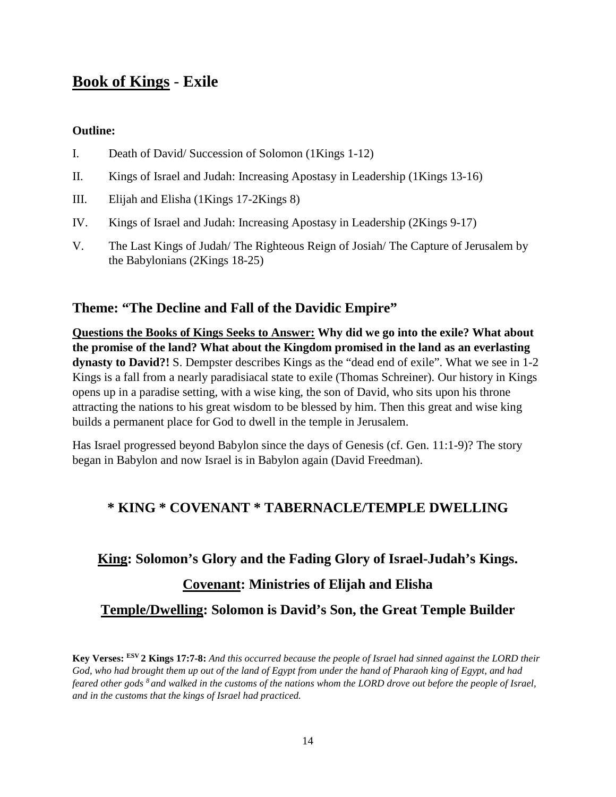# **Book of Kings** - **Exile**

# **Outline:**

| I. | Death of David/ Succession of Solomon (1Kings 1-12) |  |  |  |  |
|----|-----------------------------------------------------|--|--|--|--|
|----|-----------------------------------------------------|--|--|--|--|

- II. Kings of Israel and Judah: Increasing Apostasy in Leadership (1Kings 13-16)
- III. Elijah and Elisha (1Kings 17-2Kings 8)
- IV. Kings of Israel and Judah: Increasing Apostasy in Leadership (2Kings 9-17)
- V. The Last Kings of Judah/ The Righteous Reign of Josiah/ The Capture of Jerusalem by the Babylonians (2Kings 18-25)

# **Theme: "The Decline and Fall of the Davidic Empire"**

**Questions the Books of Kings Seeks to Answer: Why did we go into the exile? What about the promise of the land? What about the Kingdom promised in the land as an everlasting dynasty to David?!** S. Dempster describes Kings as the "dead end of exile". What we see in 1-2 Kings is a fall from a nearly paradisiacal state to exile (Thomas Schreiner). Our history in Kings opens up in a paradise setting, with a wise king, the son of David, who sits upon his throne attracting the nations to his great wisdom to be blessed by him. Then this great and wise king builds a permanent place for God to dwell in the temple in Jerusalem.

Has Israel progressed beyond Babylon since the days of Genesis (cf. Gen. 11:1-9)? The story began in Babylon and now Israel is in Babylon again (David Freedman).

# **\* KING \* COVENANT \* TABERNACLE/TEMPLE DWELLING**

## **King: Solomon's Glory and the Fading Glory of Israel-Judah's Kings.**

# **Covenant: Ministries of Elijah and Elisha**

**Temple/Dwelling: Solomon is David's Son, the Great Temple Builder**

**Key Verses: ESV 2 Kings 17:7-8:** *And this occurred because the people of Israel had sinned against the LORD their God, who had brought them up out of the land of Egypt from under the hand of Pharaoh king of Egypt, and had feared other gods 8 and walked in the customs of the nations whom the LORD drove out before the people of Israel, and in the customs that the kings of Israel had practiced.*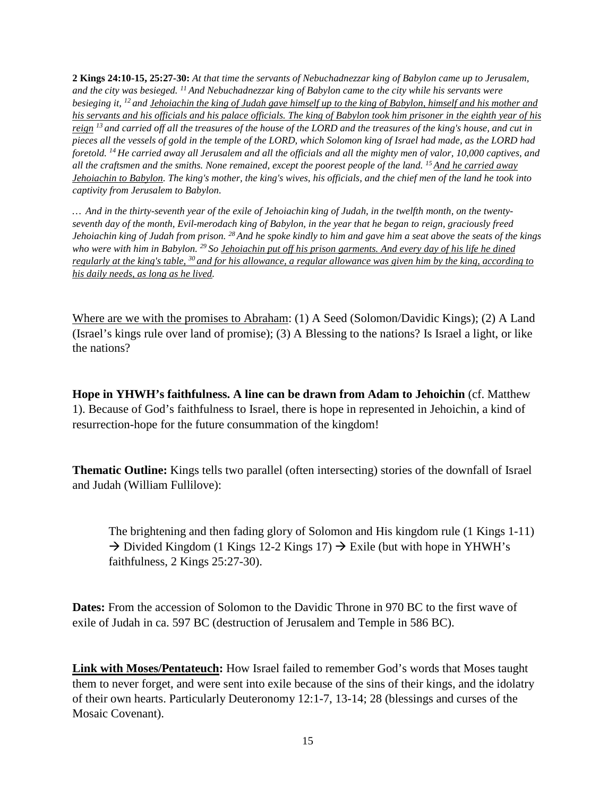**2 Kings 24:10-15, 25:27-30:** *At that time the servants of Nebuchadnezzar king of Babylon came up to Jerusalem, and the city was besieged. 11 And Nebuchadnezzar king of Babylon came to the city while his servants were besieging it, 12 and Jehoiachin the king of Judah gave himself up to the king of Babylon, himself and his mother and his servants and his officials and his palace officials. The king of Babylon took him prisoner in the eighth year of his reign 13 and carried off all the treasures of the house of the LORD and the treasures of the king's house, and cut in pieces all the vessels of gold in the temple of the LORD, which Solomon king of Israel had made, as the LORD had foretold. 14 He carried away all Jerusalem and all the officials and all the mighty men of valor, 10,000 captives, and all the craftsmen and the smiths. None remained, except the poorest people of the land. 15 And he carried away Jehoiachin to Babylon. The king's mother, the king's wives, his officials, and the chief men of the land he took into captivity from Jerusalem to Babylon.*

*… And in the thirty-seventh year of the exile of Jehoiachin king of Judah, in the twelfth month, on the twentyseventh day of the month, Evil-merodach king of Babylon, in the year that he began to reign, graciously freed Jehoiachin king of Judah from prison. 28 And he spoke kindly to him and gave him a seat above the seats of the kings who were with him in Babylon. 29 So Jehoiachin put off his prison garments. And every day of his life he dined regularly at the king's table, 30 and for his allowance, a regular allowance was given him by the king, according to his daily needs, as long as he lived.*

Where are we with the promises to Abraham: (1) A Seed (Solomon/Davidic Kings); (2) A Land (Israel's kings rule over land of promise); (3) A Blessing to the nations? Is Israel a light, or like the nations?

**Hope in YHWH's faithfulness. A line can be drawn from Adam to Jehoichin** (cf. Matthew 1). Because of God's faithfulness to Israel, there is hope in represented in Jehoichin, a kind of resurrection-hope for the future consummation of the kingdom!

**Thematic Outline:** Kings tells two parallel (often intersecting) stories of the downfall of Israel and Judah (William Fullilove):

The brightening and then fading glory of Solomon and His kingdom rule (1 Kings 1-11)  $\rightarrow$  Divided Kingdom (1 Kings 12-2 Kings 17)  $\rightarrow$  Exile (but with hope in YHWH's faithfulness, 2 Kings 25:27-30).

**Dates:** From the accession of Solomon to the Davidic Throne in 970 BC to the first wave of exile of Judah in ca. 597 BC (destruction of Jerusalem and Temple in 586 BC).

**Link with Moses/Pentateuch:** How Israel failed to remember God's words that Moses taught them to never forget, and were sent into exile because of the sins of their kings, and the idolatry of their own hearts. Particularly Deuteronomy 12:1-7, 13-14; 28 (blessings and curses of the Mosaic Covenant).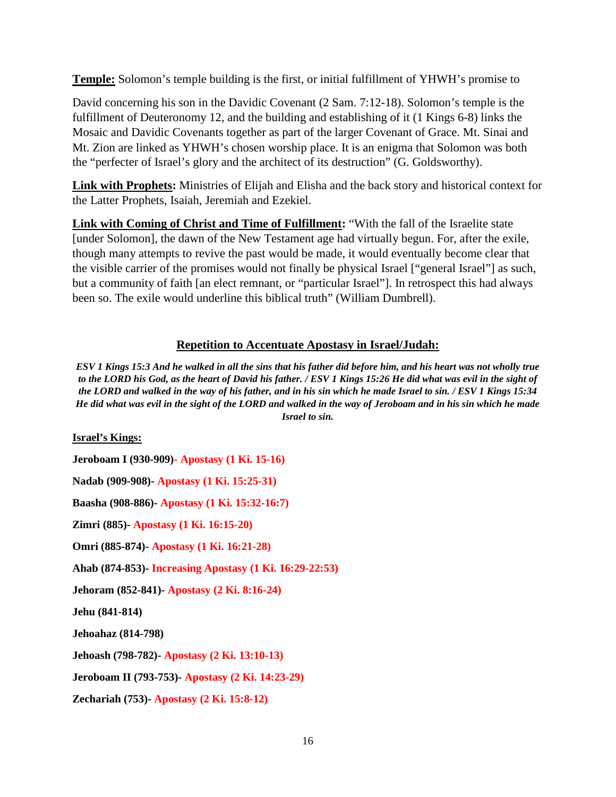**Temple:** Solomon's temple building is the first, or initial fulfillment of YHWH's promise to

David concerning his son in the Davidic Covenant (2 Sam. 7:12-18). Solomon's temple is the fulfillment of Deuteronomy 12, and the building and establishing of it (1 Kings 6-8) links the Mosaic and Davidic Covenants together as part of the larger Covenant of Grace. Mt. Sinai and Mt. Zion are linked as YHWH's chosen worship place. It is an enigma that Solomon was both the "perfecter of Israel's glory and the architect of its destruction" (G. Goldsworthy).

**Link with Prophets:** Ministries of Elijah and Elisha and the back story and historical context for the Latter Prophets, Isaiah, Jeremiah and Ezekiel.

**Link with Coming of Christ and Time of Fulfillment:** "With the fall of the Israelite state [under Solomon], the dawn of the New Testament age had virtually begun. For, after the exile, though many attempts to revive the past would be made, it would eventually become clear that the visible carrier of the promises would not finally be physical Israel ["general Israel"] as such, but a community of faith [an elect remnant, or "particular Israel"]. In retrospect this had always been so. The exile would underline this biblical truth" (William Dumbrell).

# **Repetition to Accentuate Apostasy in Israel/Judah:**

*ESV 1 Kings 15:3 And he walked in all the sins that his father did before him, and his heart was not wholly true to the LORD his God, as the heart of David his father. / ESV 1 Kings 15:26 He did what was evil in the sight of the LORD and walked in the way of his father, and in his sin which he made Israel to sin. / ESV 1 Kings 15:34 He did what was evil in the sight of the LORD and walked in the way of Jeroboam and in his sin which he made Israel to sin.*

**Israel's Kings:**

**Jeroboam I (930-909)- Apostasy (1 Ki. 15-16) Nadab (909-908)- Apostasy (1 Ki. 15:25-31) Baasha (908-886)- Apostasy (1 Ki. 15:32-16:7) Zimri (885)- Apostasy (1 Ki. 16:15-20) Omri (885-874)- Apostasy (1 Ki. 16:21-28) Ahab (874-853)- Increasing Apostasy (1 Ki. 16:29-22:53) Jehoram (852-841)- Apostasy (2 Ki. 8:16-24) Jehu (841-814) Jehoahaz (814-798) Jehoash (798-782)- Apostasy (2 Ki. 13:10-13) Jeroboam II (793-753)- Apostasy (2 Ki. 14:23-29) Zechariah (753)- Apostasy (2 Ki. 15:8-12)**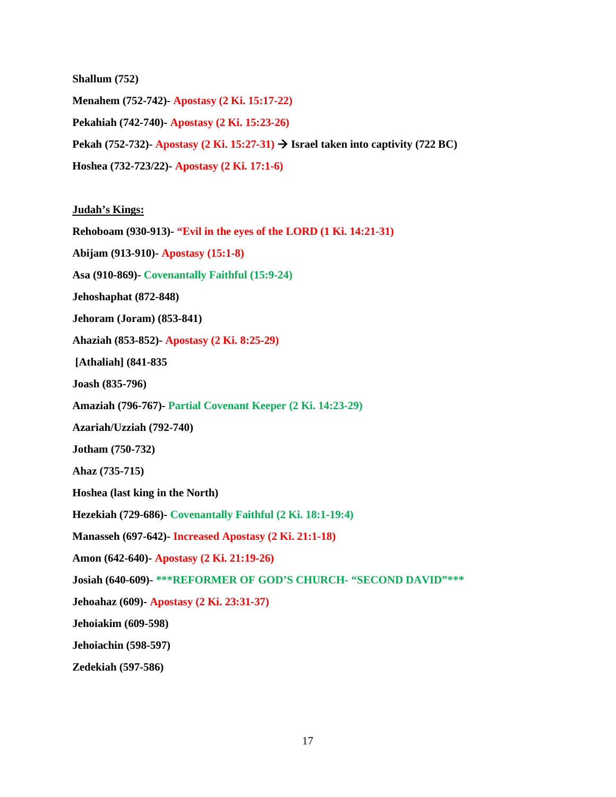**Shallum (752) Menahem (752-742)- Apostasy (2 Ki. 15:17-22) Pekahiah (742-740)- Apostasy (2 Ki. 15:23-26) Pekah (752-732)- Apostasy (2 Ki. 15:27-31) Israel taken into captivity (722 BC) Hoshea (732-723/22)- Apostasy (2 Ki. 17:1-6)**

### **Judah's Kings:**

- **Rehoboam (930-913)- "Evil in the eyes of the LORD (1 Ki. 14:21-31)**
- **Abijam (913-910)- Apostasy (15:1-8)**
- **Asa (910-869)- Covenantally Faithful (15:9-24)**
- **Jehoshaphat (872-848)**
- **Jehoram (Joram) (853-841)**
- **Ahaziah (853-852)- Apostasy (2 Ki. 8:25-29)**
- **[Athaliah] (841-835**
- **Joash (835-796)**
- **Amaziah (796-767)- Partial Covenant Keeper (2 Ki. 14:23-29)**
- **Azariah/Uzziah (792-740)**
- **Jotham (750-732)**
- **Ahaz (735-715)**
- **Hoshea (last king in the North)**
- **Hezekiah (729-686)- Covenantally Faithful (2 Ki. 18:1-19:4)**
- **Manasseh (697-642)- Increased Apostasy (2 Ki. 21:1-18)**
- **Amon (642-640)- Apostasy (2 Ki. 21:19-26)**
- **Josiah (640-609)- \*\*\*REFORMER OF GOD'S CHURCH- "SECOND DAVID"\*\*\***
- **Jehoahaz (609)- Apostasy (2 Ki. 23:31-37)**
- **Jehoiakim (609-598)**
- **Jehoiachin (598-597)**
- **Zedekiah (597-586)**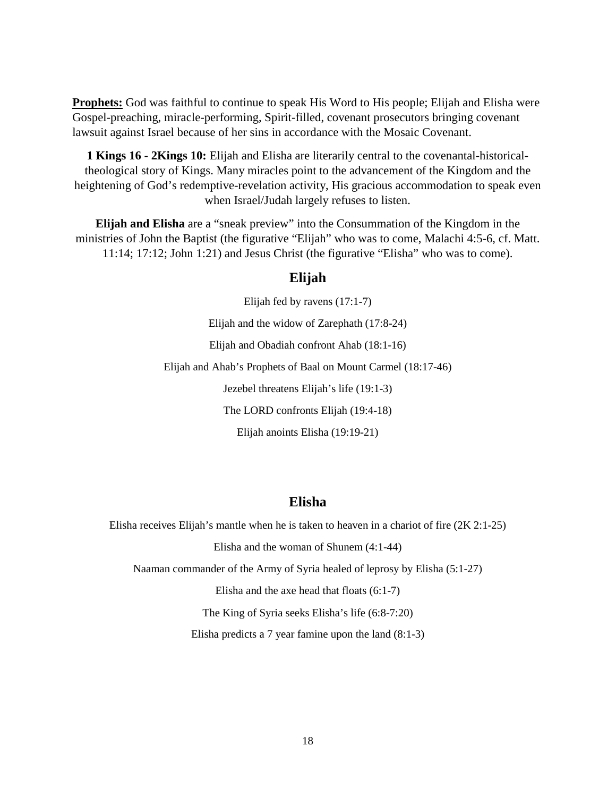**Prophets:** God was faithful to continue to speak His Word to His people; Elijah and Elisha were Gospel-preaching, miracle-performing, Spirit-filled, covenant prosecutors bringing covenant lawsuit against Israel because of her sins in accordance with the Mosaic Covenant.

**1 Kings 16 - 2Kings 10:** Elijah and Elisha are literarily central to the covenantal-historicaltheological story of Kings. Many miracles point to the advancement of the Kingdom and the heightening of God's redemptive-revelation activity, His gracious accommodation to speak even when Israel/Judah largely refuses to listen.

**Elijah and Elisha** are a "sneak preview" into the Consummation of the Kingdom in the ministries of John the Baptist (the figurative "Elijah" who was to come, Malachi 4:5-6, cf. Matt. 11:14; 17:12; John 1:21) and Jesus Christ (the figurative "Elisha" who was to come).

# **Elijah**

Elijah fed by ravens (17:1-7)

Elijah and the widow of Zarephath (17:8-24)

Elijah and Obadiah confront Ahab (18:1-16)

Elijah and Ahab's Prophets of Baal on Mount Carmel (18:17-46)

Jezebel threatens Elijah's life (19:1-3)

The LORD confronts Elijah (19:4-18)

Elijah anoints Elisha (19:19-21)

## **Elisha**

Elisha receives Elijah's mantle when he is taken to heaven in a chariot of fire (2K 2:1-25)

Elisha and the woman of Shunem (4:1-44)

Naaman commander of the Army of Syria healed of leprosy by Elisha (5:1-27)

Elisha and the axe head that floats (6:1-7)

The King of Syria seeks Elisha's life (6:8-7:20)

Elisha predicts a 7 year famine upon the land (8:1-3)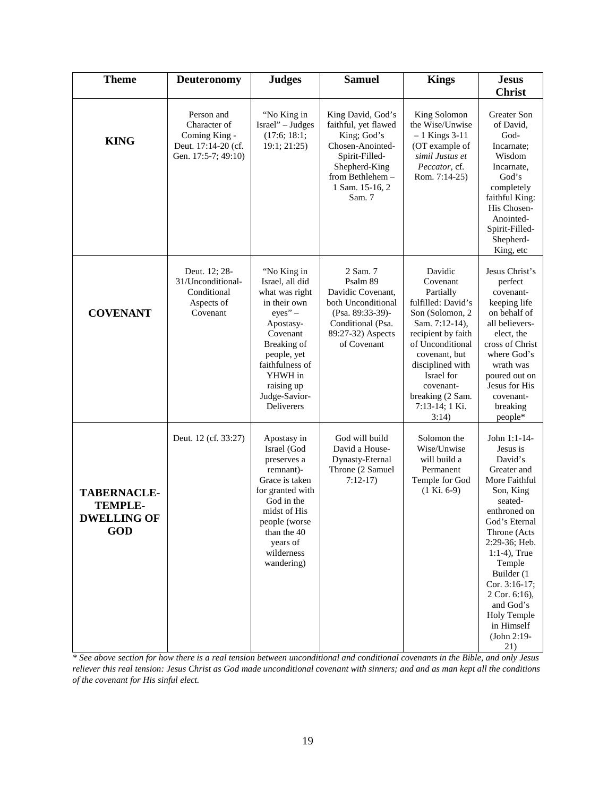| <b>Theme</b>                                                             | <b>Deuteronomy</b>                                                                        | <b>Judges</b>                                                                                                                                                                                                   | <b>Samuel</b>                                                                                                                                                   | <b>Kings</b>                                                                                                                                                                                                                                         | <b>Jesus</b><br><b>Christ</b>                                                                                                                                                                                                                                                                              |
|--------------------------------------------------------------------------|-------------------------------------------------------------------------------------------|-----------------------------------------------------------------------------------------------------------------------------------------------------------------------------------------------------------------|-----------------------------------------------------------------------------------------------------------------------------------------------------------------|------------------------------------------------------------------------------------------------------------------------------------------------------------------------------------------------------------------------------------------------------|------------------------------------------------------------------------------------------------------------------------------------------------------------------------------------------------------------------------------------------------------------------------------------------------------------|
| <b>KING</b>                                                              | Person and<br>Character of<br>Coming King -<br>Deut. 17:14-20 (cf.<br>Gen. 17:5-7; 49:10) | "No King in<br>Israel" - Judges<br>(17:6; 18:1;<br>19:1; 21:25)                                                                                                                                                 | King David, God's<br>faithful, yet flawed<br>King; God's<br>Chosen-Anointed-<br>Spirit-Filled-<br>Shepherd-King<br>from Bethlehem-<br>1 Sam. 15-16, 2<br>Sam. 7 | King Solomon<br>the Wise/Unwise<br>$-1$ Kings 3-11<br>(OT example of<br>simil Justus et<br>Peccator, cf.<br>Rom. 7:14-25)                                                                                                                            | Greater Son<br>of David,<br>God-<br>Incarnate;<br>Wisdom<br>Incarnate,<br>God's<br>completely<br>faithful King:<br>His Chosen-<br>Anointed-<br>Spirit-Filled-<br>Shepherd-<br>King, etc                                                                                                                    |
| <b>COVENANT</b>                                                          | Deut. 12; 28-<br>31/Unconditional-<br>Conditional<br>Aspects of<br>Covenant               | "No King in<br>Israel, all did<br>what was right<br>in their own<br>$eves' -$<br>Apostasy-<br>Covenant<br>Breaking of<br>people, yet<br>faithfulness of<br>YHWH in<br>raising up<br>Judge-Savior-<br>Deliverers | 2 Sam. 7<br>Psalm 89<br>Davidic Covenant,<br>both Unconditional<br>(Psa. 89:33-39)-<br>Conditional (Psa.<br>89:27-32) Aspects<br>of Covenant                    | Davidic<br>Covenant<br>Partially<br>fulfilled: David's<br>Son (Solomon, 2<br>Sam. 7:12-14),<br>recipient by faith<br>of Unconditional<br>covenant, but<br>disciplined with<br>Israel for<br>covenant-<br>breaking (2 Sam.<br>7:13-14; 1 Ki.<br>3:14) | Jesus Christ's<br>perfect<br>covenant-<br>keeping life<br>on behalf of<br>all believers-<br>elect, the<br>cross of Christ<br>where God's<br>wrath was<br>poured out on<br>Jesus for His<br>covenant-<br>breaking<br>people*                                                                                |
| <b>TABERNACLE-</b><br><b>TEMPLE-</b><br><b>DWELLING OF</b><br><b>GOD</b> | Deut. 12 (cf. 33:27)                                                                      | Apostasy in<br>Israel (God<br>preserves a<br>remnant)-<br>Grace is taken<br>for granted with<br>God in the<br>midst of His<br>people (worse<br>than the 40<br>years of<br>wilderness<br>wandering)              | God will build<br>David a House-<br>Dynasty-Eternal<br>Throne (2 Samuel<br>$7:12-17$                                                                            | Solomon the<br>Wise/Unwise<br>will build a<br>Permanent<br>Temple for God<br>$(1 Ki. 6-9)$                                                                                                                                                           | John 1:1-14-<br>Jesus is<br>David's<br>Greater and<br>More Faithful<br>Son, King<br>seated-<br>enthroned on<br>God's Eternal<br>Throne (Acts<br>2:29-36; Heb.<br>$1:1-4$ ), True<br>Temple<br>Builder (1<br>Cor. 3:16-17;<br>2 Cor. 6:16),<br>and God's<br>Holy Temple<br>in Himself<br>(John 2:19-<br>21) |

*\* See above section for how there is a real tension between unconditional and conditional covenants in the Bible, and only Jesus reliever this real tension: Jesus Christ as God made unconditional covenant with sinners; and and as man kept all the conditions of the covenant for His sinful elect.*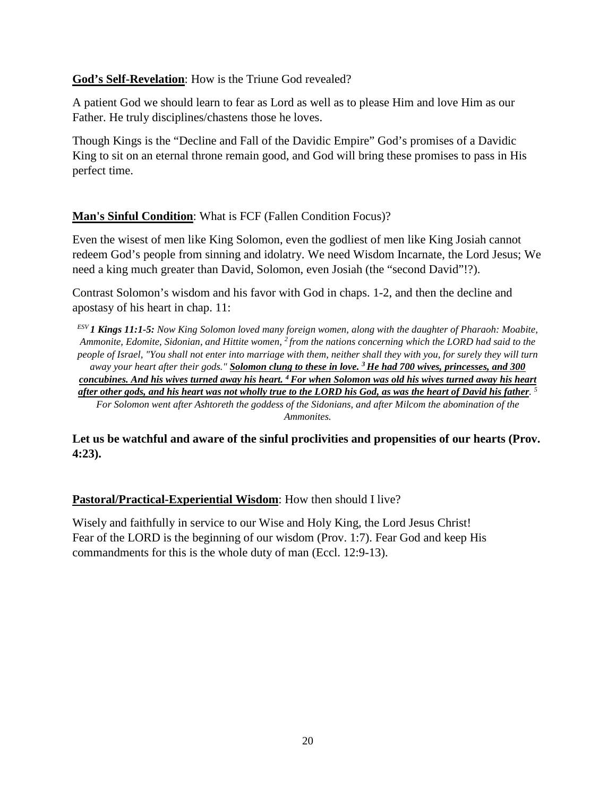# **God's Self-Revelation**: How is the Triune God revealed?

A patient God we should learn to fear as Lord as well as to please Him and love Him as our Father. He truly disciplines/chastens those he loves.

Though Kings is the "Decline and Fall of the Davidic Empire" God's promises of a Davidic King to sit on an eternal throne remain good, and God will bring these promises to pass in His perfect time.

# **Man's Sinful Condition**: What is FCF (Fallen Condition Focus)?

Even the wisest of men like King Solomon, even the godliest of men like King Josiah cannot redeem God's people from sinning and idolatry. We need Wisdom Incarnate, the Lord Jesus; We need a king much greater than David, Solomon, even Josiah (the "second David"!?).

Contrast Solomon's wisdom and his favor with God in chaps. 1-2, and then the decline and apostasy of his heart in chap. 11:

*ESV 1 Kings 11:1-5: Now King Solomon loved many foreign women, along with the daughter of Pharaoh: Moabite, Ammonite, Edomite, Sidonian, and Hittite women, 2 from the nations concerning which the LORD had said to the people of Israel, "You shall not enter into marriage with them, neither shall they with you, for surely they will turn away your heart after their gods." Solomon clung to these in love. 3 He had 700 wives, princesses, and 300 concubines. And his wives turned away his heart. 4 For when Solomon was old his wives turned away his heart after other gods, and his heart was not wholly true to the LORD his God, as was the heart of David his father. 5 For Solomon went after Ashtoreth the goddess of the Sidonians, and after Milcom the abomination of the Ammonites.*

# **Let us be watchful and aware of the sinful proclivities and propensities of our hearts (Prov. 4:23).**

## **Pastoral/Practical-Experiential Wisdom**: How then should I live?

Wisely and faithfully in service to our Wise and Holy King, the Lord Jesus Christ! Fear of the LORD is the beginning of our wisdom (Prov. 1:7). Fear God and keep His commandments for this is the whole duty of man (Eccl. 12:9-13).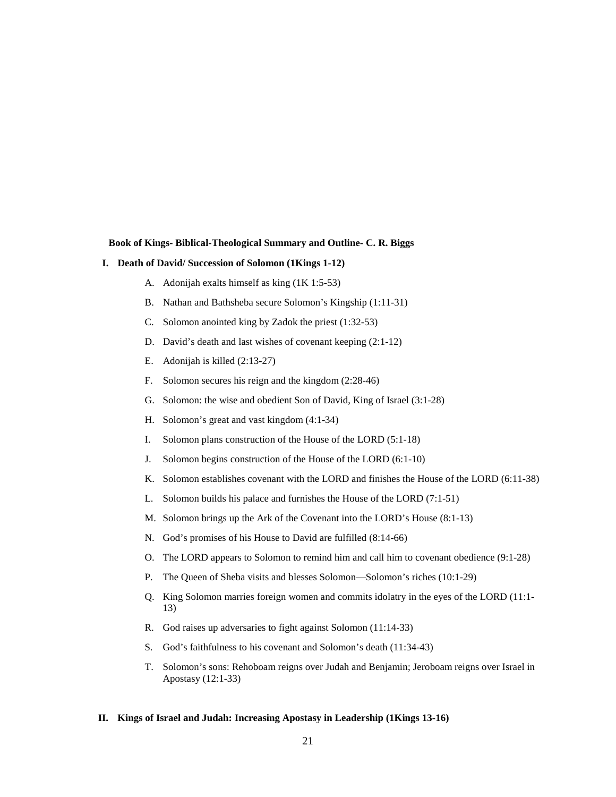### **Book of Kings- Biblical-Theological Summary and Outline- C. R. Biggs**

#### **I. Death of David/ Succession of Solomon (1Kings 1-12)**

- A. Adonijah exalts himself as king (1K 1:5-53)
- B. Nathan and Bathsheba secure Solomon's Kingship (1:11-31)
- C. Solomon anointed king by Zadok the priest (1:32-53)
- D. David's death and last wishes of covenant keeping (2:1-12)
- E. Adonijah is killed (2:13-27)
- F. Solomon secures his reign and the kingdom (2:28-46)
- G. Solomon: the wise and obedient Son of David, King of Israel (3:1-28)
- H. Solomon's great and vast kingdom (4:1-34)
- I. Solomon plans construction of the House of the LORD (5:1-18)
- J. Solomon begins construction of the House of the LORD (6:1-10)
- K. Solomon establishes covenant with the LORD and finishes the House of the LORD (6:11-38)
- L. Solomon builds his palace and furnishes the House of the LORD (7:1-51)
- M. Solomon brings up the Ark of the Covenant into the LORD's House (8:1-13)
- N. God's promises of his House to David are fulfilled (8:14-66)
- O. The LORD appears to Solomon to remind him and call him to covenant obedience (9:1-28)
- P. The Queen of Sheba visits and blesses Solomon—Solomon's riches (10:1-29)
- Q. King Solomon marries foreign women and commits idolatry in the eyes of the LORD (11:1- 13)
- R. God raises up adversaries to fight against Solomon (11:14-33)
- S. God's faithfulness to his covenant and Solomon's death (11:34-43)
- T. Solomon's sons: Rehoboam reigns over Judah and Benjamin; Jeroboam reigns over Israel in Apostasy (12:1-33)

### **II. Kings of Israel and Judah: Increasing Apostasy in Leadership (1Kings 13-16)**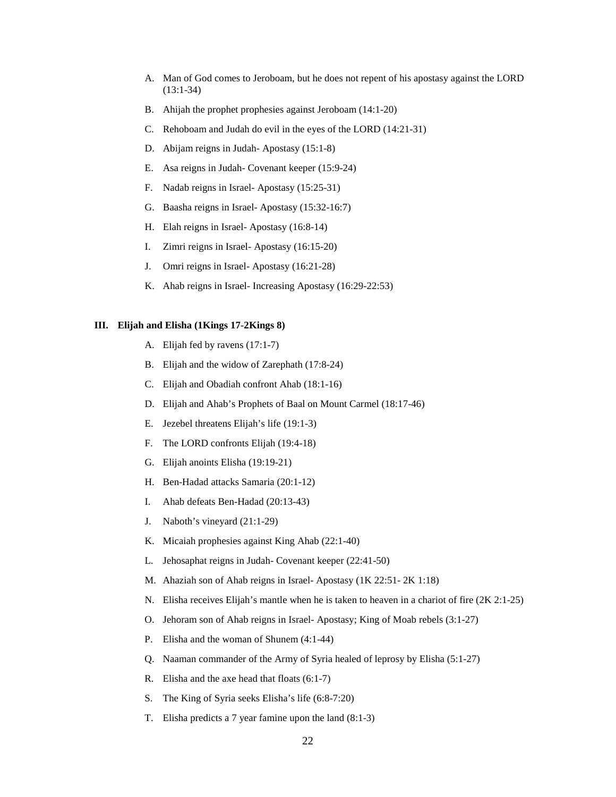- A. Man of God comes to Jeroboam, but he does not repent of his apostasy against the LORD (13:1-34)
- B. Ahijah the prophet prophesies against Jeroboam (14:1-20)
- C. Rehoboam and Judah do evil in the eyes of the LORD (14:21-31)
- D. Abijam reigns in Judah- Apostasy (15:1-8)
- E. Asa reigns in Judah- Covenant keeper (15:9-24)
- F. Nadab reigns in Israel- Apostasy (15:25-31)
- G. Baasha reigns in Israel- Apostasy (15:32-16:7)
- H. Elah reigns in Israel- Apostasy (16:8-14)
- I. Zimri reigns in Israel- Apostasy (16:15-20)
- J. Omri reigns in Israel- Apostasy (16:21-28)
- K. Ahab reigns in Israel- Increasing Apostasy (16:29-22:53)

### **III. Elijah and Elisha (1Kings 17-2Kings 8)**

- A. Elijah fed by ravens (17:1-7)
- B. Elijah and the widow of Zarephath (17:8-24)
- C. Elijah and Obadiah confront Ahab (18:1-16)
- D. Elijah and Ahab's Prophets of Baal on Mount Carmel (18:17-46)
- E. Jezebel threatens Elijah's life (19:1-3)
- F. The LORD confronts Elijah (19:4-18)
- G. Elijah anoints Elisha (19:19-21)
- H. Ben-Hadad attacks Samaria (20:1-12)
- I. Ahab defeats Ben-Hadad (20:13-43)
- J. Naboth's vineyard (21:1-29)
- K. Micaiah prophesies against King Ahab (22:1-40)
- L. Jehosaphat reigns in Judah- Covenant keeper (22:41-50)
- M. Ahaziah son of Ahab reigns in Israel- Apostasy (1K 22:51- 2K 1:18)
- N. Elisha receives Elijah's mantle when he is taken to heaven in a chariot of fire (2K 2:1-25)
- O. Jehoram son of Ahab reigns in Israel- Apostasy; King of Moab rebels (3:1-27)
- P. Elisha and the woman of Shunem (4:1-44)
- Q. Naaman commander of the Army of Syria healed of leprosy by Elisha (5:1-27)
- R. Elisha and the axe head that floats (6:1-7)
- S. The King of Syria seeks Elisha's life (6:8-7:20)
- T. Elisha predicts a 7 year famine upon the land (8:1-3)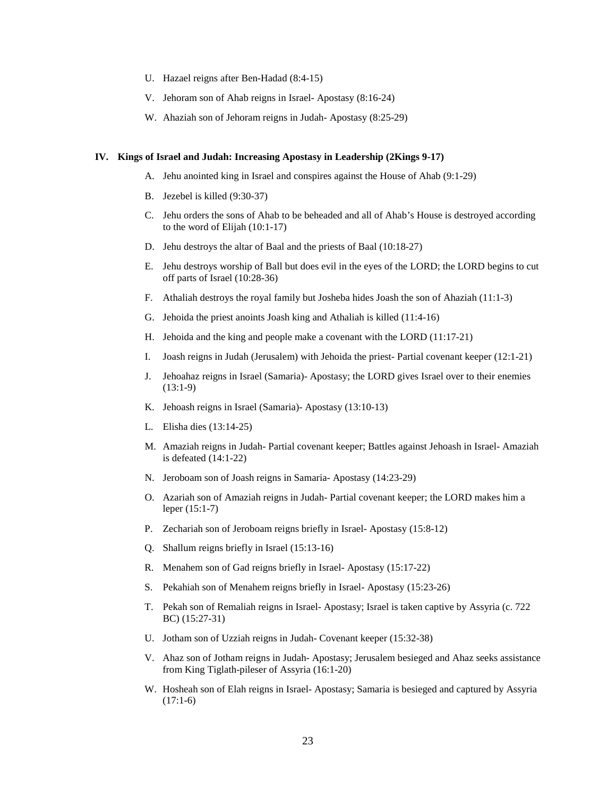- U. Hazael reigns after Ben-Hadad (8:4-15)
- V. Jehoram son of Ahab reigns in Israel- Apostasy (8:16-24)
- W. Ahaziah son of Jehoram reigns in Judah- Apostasy (8:25-29)

#### **IV. Kings of Israel and Judah: Increasing Apostasy in Leadership (2Kings 9-17)**

- A. Jehu anointed king in Israel and conspires against the House of Ahab (9:1-29)
- B. Jezebel is killed (9:30-37)
- C. Jehu orders the sons of Ahab to be beheaded and all of Ahab's House is destroyed according to the word of Elijah (10:1-17)
- D. Jehu destroys the altar of Baal and the priests of Baal (10:18-27)
- E. Jehu destroys worship of Ball but does evil in the eyes of the LORD; the LORD begins to cut off parts of Israel (10:28-36)
- F. Athaliah destroys the royal family but Josheba hides Joash the son of Ahaziah (11:1-3)
- G. Jehoida the priest anoints Joash king and Athaliah is killed (11:4-16)
- H. Jehoida and the king and people make a covenant with the LORD (11:17-21)
- I. Joash reigns in Judah (Jerusalem) with Jehoida the priest- Partial covenant keeper (12:1-21)
- J. Jehoahaz reigns in Israel (Samaria)- Apostasy; the LORD gives Israel over to their enemies (13:1-9)
- K. Jehoash reigns in Israel (Samaria)- Apostasy (13:10-13)
- L. Elisha dies (13:14-25)
- M. Amaziah reigns in Judah- Partial covenant keeper; Battles against Jehoash in Israel- Amaziah is defeated (14:1-22)
- N. Jeroboam son of Joash reigns in Samaria- Apostasy (14:23-29)
- O. Azariah son of Amaziah reigns in Judah- Partial covenant keeper; the LORD makes him a leper (15:1-7)
- P. Zechariah son of Jeroboam reigns briefly in Israel- Apostasy (15:8-12)
- Q. Shallum reigns briefly in Israel (15:13-16)
- R. Menahem son of Gad reigns briefly in Israel- Apostasy (15:17-22)
- S. Pekahiah son of Menahem reigns briefly in Israel- Apostasy (15:23-26)
- T. Pekah son of Remaliah reigns in Israel- Apostasy; Israel is taken captive by Assyria (c. 722 BC) (15:27-31)
- U. Jotham son of Uzziah reigns in Judah- Covenant keeper (15:32-38)
- V. Ahaz son of Jotham reigns in Judah- Apostasy; Jerusalem besieged and Ahaz seeks assistance from King Tiglath-pileser of Assyria (16:1-20)
- W. Hosheah son of Elah reigns in Israel- Apostasy; Samaria is besieged and captured by Assyria  $(17:1-6)$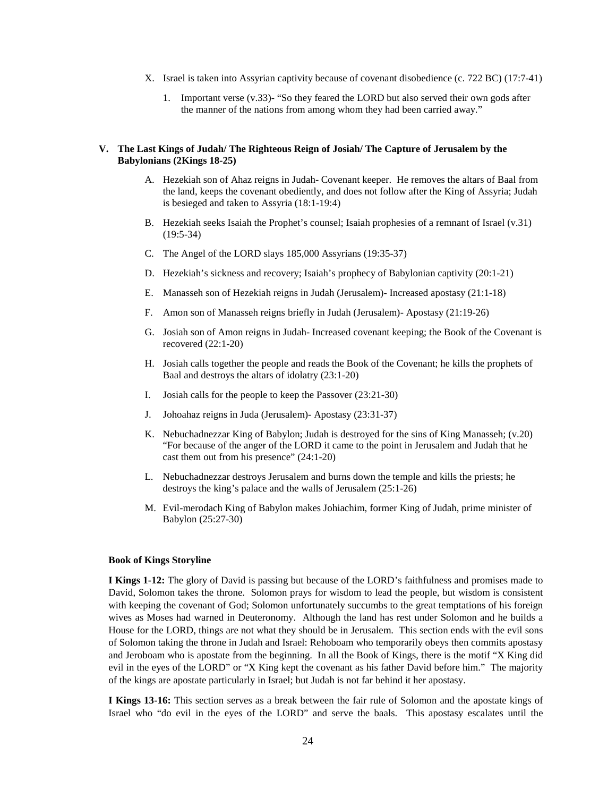- X. Israel is taken into Assyrian captivity because of covenant disobedience (c. 722 BC) (17:7-41)
	- 1. Important verse (v.33)- "So they feared the LORD but also served their own gods after the manner of the nations from among whom they had been carried away."

### **V. The Last Kings of Judah/ The Righteous Reign of Josiah/ The Capture of Jerusalem by the Babylonians (2Kings 18-25)**

- A. Hezekiah son of Ahaz reigns in Judah- Covenant keeper. He removes the altars of Baal from the land, keeps the covenant obediently, and does not follow after the King of Assyria; Judah is besieged and taken to Assyria (18:1-19:4)
- B. Hezekiah seeks Isaiah the Prophet's counsel; Isaiah prophesies of a remnant of Israel (v.31) (19:5-34)
- C. The Angel of the LORD slays 185,000 Assyrians (19:35-37)
- D. Hezekiah's sickness and recovery; Isaiah's prophecy of Babylonian captivity (20:1-21)
- E. Manasseh son of Hezekiah reigns in Judah (Jerusalem)- Increased apostasy (21:1-18)
- F. Amon son of Manasseh reigns briefly in Judah (Jerusalem)- Apostasy (21:19-26)
- G. Josiah son of Amon reigns in Judah- Increased covenant keeping; the Book of the Covenant is recovered (22:1-20)
- H. Josiah calls together the people and reads the Book of the Covenant; he kills the prophets of Baal and destroys the altars of idolatry (23:1-20)
- I. Josiah calls for the people to keep the Passover (23:21-30)
- J. Johoahaz reigns in Juda (Jerusalem)- Apostasy (23:31-37)
- K. Nebuchadnezzar King of Babylon; Judah is destroyed for the sins of King Manasseh; (v.20) "For because of the anger of the LORD it came to the point in Jerusalem and Judah that he cast them out from his presence" (24:1-20)
- L. Nebuchadnezzar destroys Jerusalem and burns down the temple and kills the priests; he destroys the king's palace and the walls of Jerusalem (25:1-26)
- M. Evil-merodach King of Babylon makes Johiachim, former King of Judah, prime minister of Babylon (25:27-30)

### **Book of Kings Storyline**

**I Kings 1-12:** The glory of David is passing but because of the LORD's faithfulness and promises made to David, Solomon takes the throne. Solomon prays for wisdom to lead the people, but wisdom is consistent with keeping the covenant of God; Solomon unfortunately succumbs to the great temptations of his foreign wives as Moses had warned in Deuteronomy. Although the land has rest under Solomon and he builds a House for the LORD, things are not what they should be in Jerusalem. This section ends with the evil sons of Solomon taking the throne in Judah and Israel: Rehoboam who temporarily obeys then commits apostasy and Jeroboam who is apostate from the beginning. In all the Book of Kings, there is the motif "X King did evil in the eyes of the LORD" or "X King kept the covenant as his father David before him." The majority of the kings are apostate particularly in Israel; but Judah is not far behind it her apostasy.

**I Kings 13-16:** This section serves as a break between the fair rule of Solomon and the apostate kings of Israel who "do evil in the eyes of the LORD" and serve the baals. This apostasy escalates until the